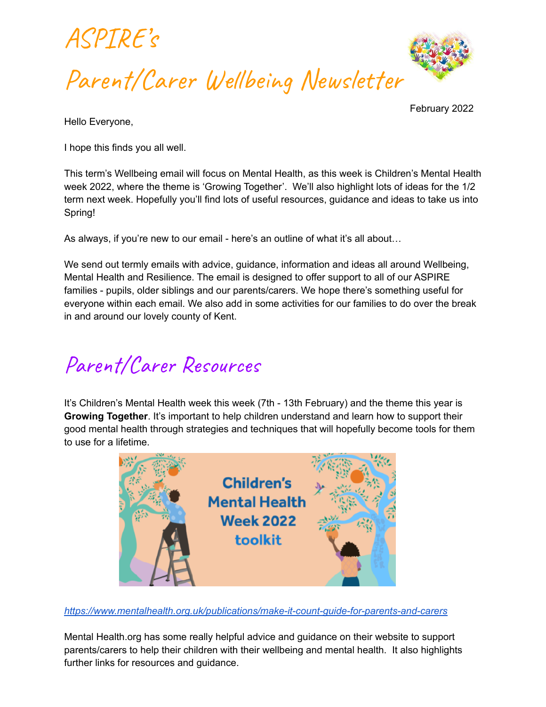



Hello Everyone,

February 2022

I hope this finds you all well.

This term's Wellbeing email will focus on Mental Health, as this week is Children's Mental Health week 2022, where the theme is 'Growing Together'. We'll also highlight lots of ideas for the 1/2 term next week. Hopefully you'll find lots of useful resources, guidance and ideas to take us into Spring!

As always, if you're new to our email - here's an outline of what it's all about…

We send out termly emails with advice, guidance, information and ideas all around Wellbeing, Mental Health and Resilience. The email is designed to offer support to all of our ASPIRE families - pupils, older siblings and our parents/carers. We hope there's something useful for everyone within each email. We also add in some activities for our families to do over the break in and around our lovely county of Kent.

# Parent/Carer Resources

It's Children's Mental Health week this week (7th - 13th February) and the theme this year is **Growing Together**. It's important to help children understand and learn how to support their good mental health through strategies and techniques that will hopefully become tools for them to use for a lifetime.



*<https://www.mentalhealth.org.uk/publications/make-it-count-guide-for-parents-and-carers>*

Mental Health.org has some really helpful advice and guidance on their website to support parents/carers to help their children with their wellbeing and mental health. It also highlights further links for resources and guidance.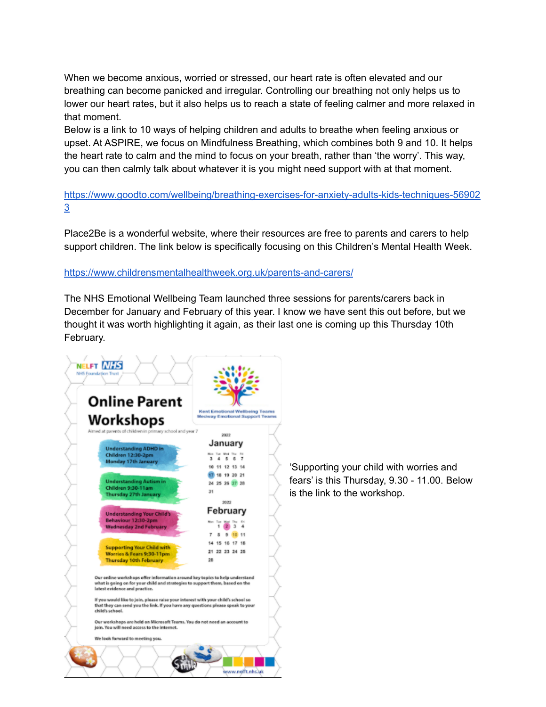When we become anxious, worried or stressed, our heart rate is often elevated and our breathing can become panicked and irregular. Controlling our breathing not only helps us to lower our heart rates, but it also helps us to reach a state of feeling calmer and more relaxed in that moment.

Below is a link to 10 ways of helping children and adults to breathe when feeling anxious or upset. At ASPIRE, we focus on Mindfulness Breathing, which combines both 9 and 10. It helps the heart rate to calm and the mind to focus on your breath, rather than 'the worry'. This way, you can then calmly talk about whatever it is you might need support with at that moment.

[https://www.goodto.com/wellbeing/breathing-exercises-for-anxiety-adults-kids-techniques-56902](https://www.goodto.com/wellbeing/breathing-exercises-for-anxiety-adults-kids-techniques-569023) [3](https://www.goodto.com/wellbeing/breathing-exercises-for-anxiety-adults-kids-techniques-569023)

Place2Be is a wonderful website, where their resources are free to parents and carers to help support children. The link below is specifically focusing on this Children's Mental Health Week.

#### <https://www.childrensmentalhealthweek.org.uk/parents-and-carers/>

The NHS Emotional Wellbeing Team launched three sessions for parents/carers back in December for January and February of this year. I know we have sent this out before, but we thought it was worth highlighting it again, as their last one is coming up this Thursday 10th February.



'Supporting your child with worries and fears' is this Thursday, 9.30 - 11.00. Below is the link to the workshop.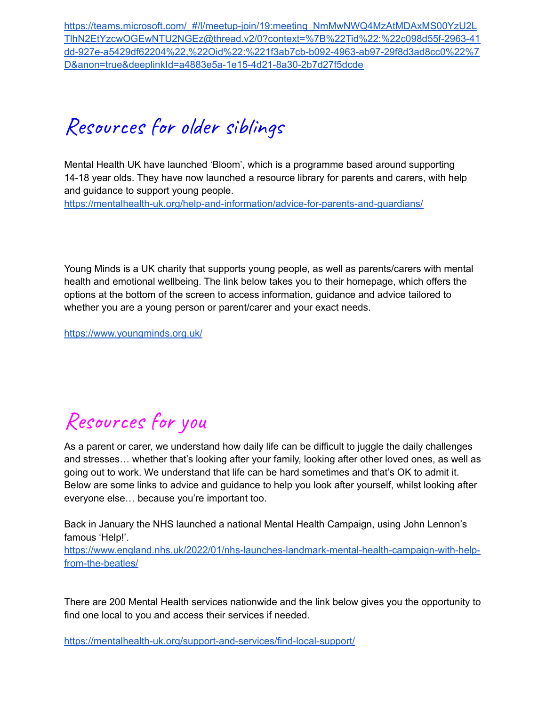[https://teams.microsoft.com/\\_#/l/meetup-join/19:meeting\\_NmMwNWQ4MzAtMDAxMS00YzU2L](https://teams.microsoft.com/_#/l/meetup-join/19:meeting_NmMwNWQ4MzAtMDAxMS00YzU2LTlhN2EtYzcwOGEwNTU2NGEz@thread.v2/0?context=%7B%22Tid%22:%22c098d55f-2963-41dd-927e-a5429df62204%22,%22Oid%22:%221f3ab7cb-b092-4963-ab97-29f8d3ad8cc0%22%7D&anon=true&deeplinkId=a4883e5a-1e15-4d21-8a30-2b7d27f5dcde) [TlhN2EtYzcwOGEwNTU2NGEz@thread.v2/0?context=%7B%22Tid%22:%22c098d55f-2963-41](https://teams.microsoft.com/_#/l/meetup-join/19:meeting_NmMwNWQ4MzAtMDAxMS00YzU2LTlhN2EtYzcwOGEwNTU2NGEz@thread.v2/0?context=%7B%22Tid%22:%22c098d55f-2963-41dd-927e-a5429df62204%22,%22Oid%22:%221f3ab7cb-b092-4963-ab97-29f8d3ad8cc0%22%7D&anon=true&deeplinkId=a4883e5a-1e15-4d21-8a30-2b7d27f5dcde) [dd-927e-a5429df62204%22,%22Oid%22:%221f3ab7cb-b092-4963-ab97-29f8d3ad8cc0%22%7](https://teams.microsoft.com/_#/l/meetup-join/19:meeting_NmMwNWQ4MzAtMDAxMS00YzU2LTlhN2EtYzcwOGEwNTU2NGEz@thread.v2/0?context=%7B%22Tid%22:%22c098d55f-2963-41dd-927e-a5429df62204%22,%22Oid%22:%221f3ab7cb-b092-4963-ab97-29f8d3ad8cc0%22%7D&anon=true&deeplinkId=a4883e5a-1e15-4d21-8a30-2b7d27f5dcde) [D&anon=true&deeplinkId=a4883e5a-1e15-4d21-8a30-2b7d27f5dcde](https://teams.microsoft.com/_#/l/meetup-join/19:meeting_NmMwNWQ4MzAtMDAxMS00YzU2LTlhN2EtYzcwOGEwNTU2NGEz@thread.v2/0?context=%7B%22Tid%22:%22c098d55f-2963-41dd-927e-a5429df62204%22,%22Oid%22:%221f3ab7cb-b092-4963-ab97-29f8d3ad8cc0%22%7D&anon=true&deeplinkId=a4883e5a-1e15-4d21-8a30-2b7d27f5dcde)

### Resources for older siblings

Mental Health UK have launched 'Bloom', which is a programme based around supporting 14-18 year olds. They have now launched a resource library for parents and carers, with help and guidance to support young people.

<https://mentalhealth-uk.org/help-and-information/advice-for-parents-and-guardians/>

Young Minds is a UK charity that supports young people, as well as parents/carers with mental health and emotional wellbeing. The link below takes you to their homepage, which offers the options at the bottom of the screen to access information, guidance and advice tailored to whether you are a young person or parent/carer and your exact needs.

<https://www.youngminds.org.uk/>

### Resources for you

As a parent or carer, we understand how daily life can be difficult to juggle the daily challenges and stresses… whether that's looking after your family, looking after other loved ones, as well as going out to work. We understand that life can be hard sometimes and that's OK to admit it. Below are some links to advice and guidance to help you look after yourself, whilst looking after everyone else… because you're important too.

Back in January the NHS launched a national Mental Health Campaign, using John Lennon's famous 'Help!'.

[https://www.england.nhs.uk/2022/01/nhs-launches-landmark-mental-health-campaign-with-help](https://www.england.nhs.uk/2022/01/nhs-launches-landmark-mental-health-campaign-with-help-from-the-beatles/)[from-the-beatles/](https://www.england.nhs.uk/2022/01/nhs-launches-landmark-mental-health-campaign-with-help-from-the-beatles/)

There are 200 Mental Health services nationwide and the link below gives you the opportunity to find one local to you and access their services if needed.

<https://mentalhealth-uk.org/support-and-services/find-local-support/>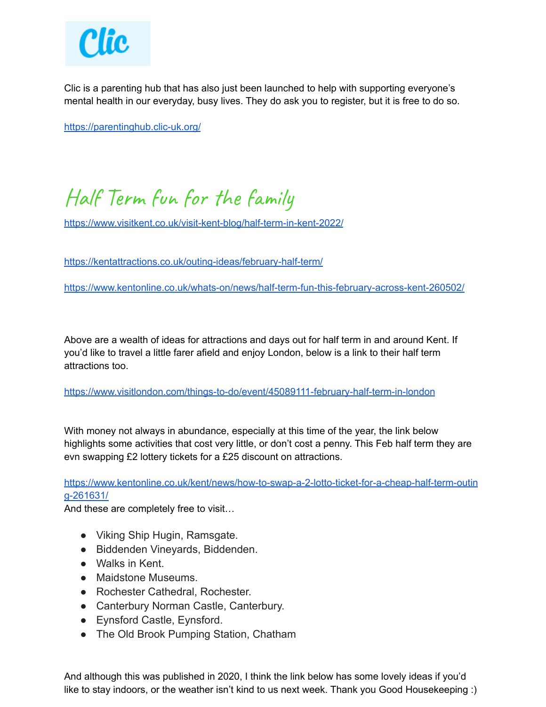

Clic is a parenting hub that has also just been launched to help with supporting everyone's mental health in our everyday, busy lives. They do ask you to register, but it is free to do so.

<https://parentinghub.clic-uk.org/>

## Half Term fun for the family

<https://www.visitkent.co.uk/visit-kent-blog/half-term-in-kent-2022/>

<https://kentattractions.co.uk/outing-ideas/february-half-term/>

<https://www.kentonline.co.uk/whats-on/news/half-term-fun-this-february-across-kent-260502/>

Above are a wealth of ideas for attractions and days out for half term in and around Kent. If you'd like to travel a little farer afield and enjoy London, below is a link to their half term attractions too.

<https://www.visitlondon.com/things-to-do/event/45089111-february-half-term-in-london>

With money not always in abundance, especially at this time of the year, the link below highlights some activities that cost very little, or don't cost a penny. This Feb half term they are evn swapping £2 lottery tickets for a £25 discount on attractions.

[https://www.kentonline.co.uk/kent/news/how-to-swap-a-2-lotto-ticket-for-a-cheap-half-term-outin](https://www.kentonline.co.uk/kent/news/how-to-swap-a-2-lotto-ticket-for-a-cheap-half-term-outing-261631/) [g-261631/](https://www.kentonline.co.uk/kent/news/how-to-swap-a-2-lotto-ticket-for-a-cheap-half-term-outing-261631/)

And these are completely free to visit…

- Viking Ship Hugin, Ramsgate.
- Biddenden Vineyards, Biddenden.
- Walks in Kent.
- Maidstone Museums
- Rochester Cathedral, Rochester.
- Canterbury Norman Castle, Canterbury.
- Eynsford Castle, Eynsford.
- The Old Brook Pumping Station, Chatham

And although this was published in 2020, I think the link below has some lovely ideas if you'd like to stay indoors, or the weather isn't kind to us next week. Thank you Good Housekeeping :)